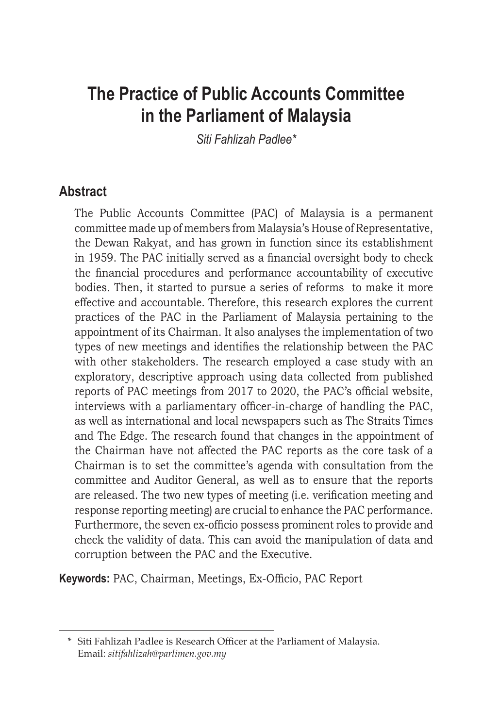# **The Practice of Public Accounts Committee in the Parliament of Malaysia**

*Siti Fahlizah Padlee\**

### **Abstract**

The Public Accounts Committee (PAC) of Malaysia is a permanent committee made up of members from Malaysia's House of Representative, the Dewan Rakyat, and has grown in function since its establishment in 1959. The PAC initially served as a financial oversight body to check the financial procedures and performance accountability of executive bodies. Then, it started to pursue a series of reforms to make it more effective and accountable. Therefore, this research explores the current practices of the PAC in the Parliament of Malaysia pertaining to the appointment of its Chairman. It also analyses the implementation of two types of new meetings and identifies the relationship between the PAC with other stakeholders. The research employed a case study with an exploratory, descriptive approach using data collected from published reports of PAC meetings from 2017 to 2020, the PAC's official website, interviews with a parliamentary officer-in-charge of handling the PAC, as well as international and local newspapers such as The Straits Times and The Edge. The research found that changes in the appointment of the Chairman have not affected the PAC reports as the core task of a Chairman is to set the committee's agenda with consultation from the committee and Auditor General, as well as to ensure that the reports are released. The two new types of meeting (i.e. verification meeting and response reporting meeting) are crucial to enhance the PAC performance. Furthermore, the seven ex-officio possess prominent roles to provide and check the validity of data. This can avoid the manipulation of data and corruption between the PAC and the Executive.

**Keywords:** PAC, Chairman, Meetings, Ex-Officio, PAC Report

 <sup>\*</sup> Siti Fahlizah Padlee is Research Officer at the Parliament of Malaysia. Email: *sitifahlizah@parlimen.gov.my*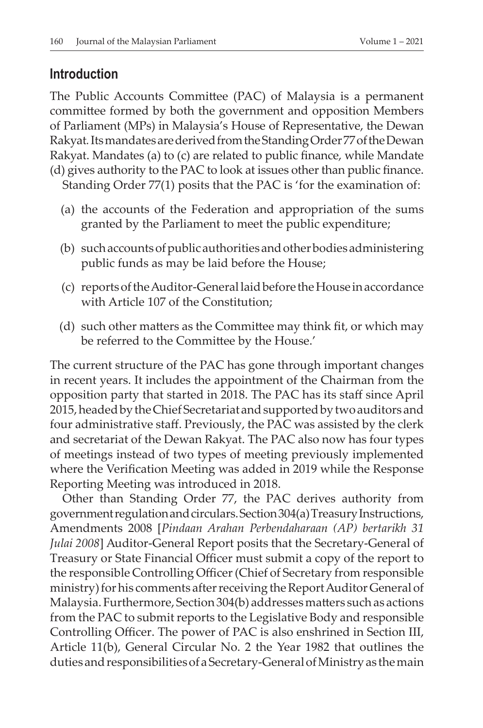#### **Introduction**

The Public Accounts Committee (PAC) of Malaysia is a permanent committee formed by both the government and opposition Members of Parliament (MPs) in Malaysia's House of Representative, the Dewan Rakyat*.*ItsmandatesarederivedfromtheStandingOrder77oftheDewan Rakyat. Mandates (a) to (c) are related to public finance, while Mandate (d) gives authority to the PAC to look at issues other than public finance. Standing Order 77(1) posits that the PAC is 'for the examination of:

- (a) the accounts of the Federation and appropriation of the sums granted by the Parliament to meet the public expenditure;
- (b) such accounts of public authorities and other bodies administering public funds as may be laid before the House;
- (c) reportsoftheAuditor-Generallaidbefore theHouse inaccordance with Article 107 of the Constitution;
- (d) such other matters as the Committee may think fit, or which may be referred to the Committee by the House.'

The current structure of the PAC has gone through important changes in recent years. It includes the appointment of the Chairman from the opposition party that started in 2018. The PAC has its staff since April 2015, headed by the Chief Secretariat and supported by two auditors and four administrative staff. Previously, the PAC was assisted by the clerk and secretariat of the Dewan Rakyat. The PAC also now has four types of meetings instead of two types of meeting previously implemented where the Verification Meeting was added in 2019 while the Response Reporting Meeting was introduced in 2018.

Other than Standing Order 77, the PAC derives authority from governmentregulationandcirculars.Section304(a)TreasuryInstructions, Amendments 2008 [*Pindaan Arahan Perbendaharaan (AP) bertarikh 31 Julai 2008*] Auditor-General Report posits that the Secretary-General of Treasury or State Financial Officer must submit a copy of the report to the responsible Controlling Officer(Chief of Secretary from responsible ministry) for his comments after receiving the Report Auditor General of Malaysia. Furthermore, Section 304(b) addresses matters such as actions from the PAC to submit reports to the Legislative Body and responsible Controlling Officer. The power of PAC is also enshrined in Section III, Article 11(b), General Circular No. 2 the Year 1982 that outlines the duties and responsibilities of a Secretary-General of Ministry as the main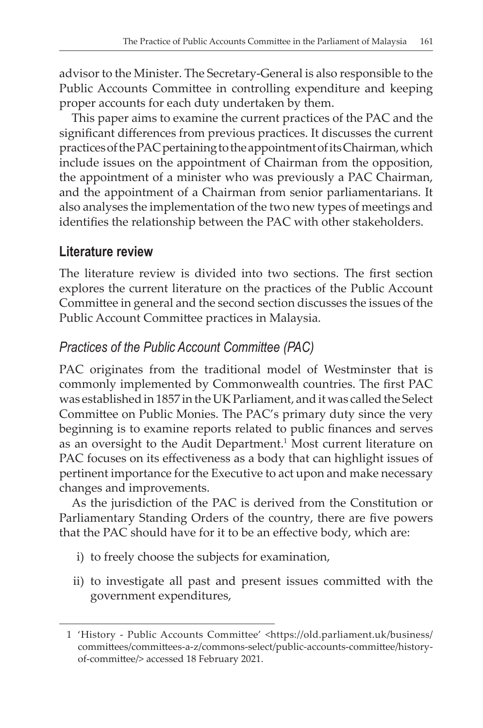advisor to the Minister. The Secretary-General is also responsible to the Public Accounts Committee in controlling expenditure and keeping proper accounts for each duty undertaken by them.

This paper aims to examine the current practices of the PAC and the significant differences from previous practices. It discusses the current practices of the PAC pertaining to the appointment of its Chairman, which include issues on the appointment of Chairman from the opposition, the appointment of a minister who was previously a PAC Chairman, and the appointment of a Chairman from senior parliamentarians. It also analyses the implementation of the two new types of meetings and identifies the relationship between the PAC with other stakeholders.

### **Literature review**

The literature review is divided into two sections. The first section explores the current literature on the practices of the Public Account Committee in general and the second section discusses the issues of the Public Account Committee practices in Malaysia.

## *Practices of the Public Account Committee (PAC)*

PAC originates from the traditional model of Westminster that is commonly implemented by Commonwealth countries. The first PAC was established in 1857 in the UK Parliament, and it was called the Select Committee on Public Monies. The PAC's primary duty since the very beginning is to examine reports related to public finances and serves as an oversight to the Audit Department.<sup>1</sup> Most current literature on PAC focuses on its effectiveness as a body that can highlight issues of pertinent importance for the Executive to act upon and make necessary changes and improvements.

As the jurisdiction of the PAC is derived from the Constitution or Parliamentary Standing Orders of the country, there are five powers that the PAC should have for it to be an effective body, which are:

- i) to freely choose the subjects for examination,
- ii) to investigate all past and present issues committed with the government expenditures,

 <sup>1 &#</sup>x27;History - Public Accounts Committee' <https://old.parliament.uk/business/ committees/committees-a-z/commons-select/public-accounts-committee/historyof-committee/> accessed 18 February 2021.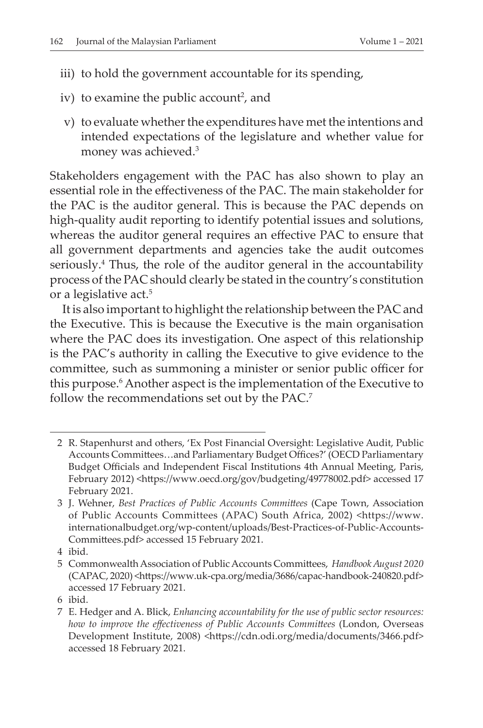- iii) to hold the government accountable for its spending,
- iv) to examine the public account<sup>2</sup>, and
	- v) to evaluate whether the expenditures have met the intentions and intended expectations of the legislature and whether value for money was achieved.3

Stakeholders engagement with the PAC has also shown to play an essential role in the effectiveness of the PAC. The main stakeholder for the PAC is the auditor general. This is because the PAC depends on high-quality audit reporting to identify potential issues and solutions, whereas the auditor general requires an effective PAC to ensure that all government departments and agencies take the audit outcomes seriously.4 Thus, the role of the auditor general in the accountability process of the PAC should clearly be stated in the country's constitution or a legislative act.<sup>5</sup>

It is also important to highlight the relationship between the PAC and the Executive. This is because the Executive is the main organisation where the PAC does its investigation. One aspect of this relationship is the PAC's authority in calling the Executive to give evidence to the committee, such as summoning a minister or senior public officer for this purpose.<sup>6</sup> Another aspect is the implementation of the Executive to follow the recommendations set out by the PAC.<sup>7</sup>

 4 ibid.

 <sup>2</sup> R. Stapenhurst and others, 'Ex Post Financial Oversight: Legislative Audit, Public Accounts Committees…and Parliamentary Budget Offices?' (OECD Parliamentary Budget Officials and Independent Fiscal Institutions 4th Annual Meeting, Paris, February 2012) <https://www.oecd.org/gov/budgeting/49778002.pdf> accessed 17 February 2021.

 <sup>3</sup> J. Wehner, *Best Practices of Public Accounts Committees* (Cape Town, Association of Public Accounts Committees (APAC) South Africa, 2002) <https://www. internationalbudget.org/wp-content/uploads/Best-Practices-of-Public-Accounts-Committees.pdf> accessed 15 February 2021.

 <sup>5</sup> CommonwealthAssociation of PublicAccounts Committees, *Handbook August 2020* (CAPAC, 2020) <https://www.uk-cpa.org/media/3686/capac-handbook-240820.pdf> accessed 17 February 2021.

 <sup>6</sup> ibid.

 <sup>7</sup> E. Hedger and A. Blick, *Enhancing accountability for the use of public sector resources: how to improve the effectiveness of Public Accounts Committees* (London, Overseas Development Institute, 2008) <https://cdn.odi.org/media/documents/3466.pdf> accessed 18 February 2021.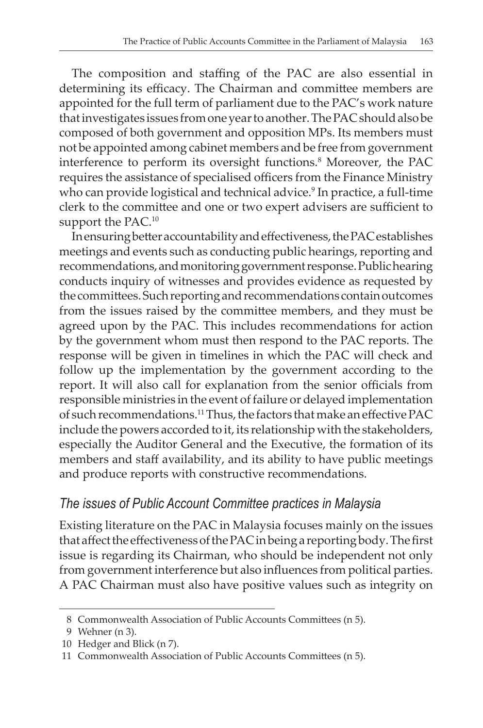The composition and staffing of the PAC are also essential in determining its efficacy. The Chairman and committee members are appointed for the full term of parliament due to the PAC's work nature that investigates issues from one year to another. The PAC should also be composed of both government and opposition MPs. Its members must not be appointed among cabinet members and be free from government interference to perform its oversight functions.<sup>8</sup> Moreover, the PAC requires the assistance of specialised officers from the Finance Ministry who can provide logistical and technical advice.<sup>9</sup> In practice, a full-time clerk to the committee and one or two expert advisers are sufficient to support the PAC.<sup>10</sup>

In ensuring better accountability and effectiveness, the PAC establishes meetings and events such as conducting public hearings, reporting and recommendations, and monitoring government response. Publichearing conducts inquiry of witnesses and provides evidence as requested by the committees. Such reporting and recommendations contain outcomes from the issues raised by the committee members, and they must be agreed upon by the PAC. This includes recommendations for action by the government whom must then respond to the PAC reports. The response will be given in timelines in which the PAC will check and follow up the implementation by the government according to the report. It will also call for explanation from the senior officials from responsible ministries in the event of failure or delayed implementation of such recommendations.<sup>11</sup>Thus, the factors that make an effective PAC include the powers accorded to it, its relationship with the stakeholders, especially the Auditor General and the Executive, the formation of its members and staff availability, and its ability to have public meetings and produce reports with constructive recommendations.

### *The issues of Public Account Committee practices in Malaysia*

Existing literature on the PAC in Malaysia focuses mainly on the issues that affect the effectiveness of the PAC in being a reporting body. The first issue is regarding its Chairman, who should be independent not only from government interference but also influences from political parties. A PAC Chairman must also have positive values such as integrity on

 <sup>8</sup> Commonwealth Association of Public Accounts Committees (n 5).

 <sup>9</sup> Wehner (n 3).

<sup>10</sup> Hedger and Blick (n 7).

<sup>11</sup> Commonwealth Association of Public Accounts Committees (n 5).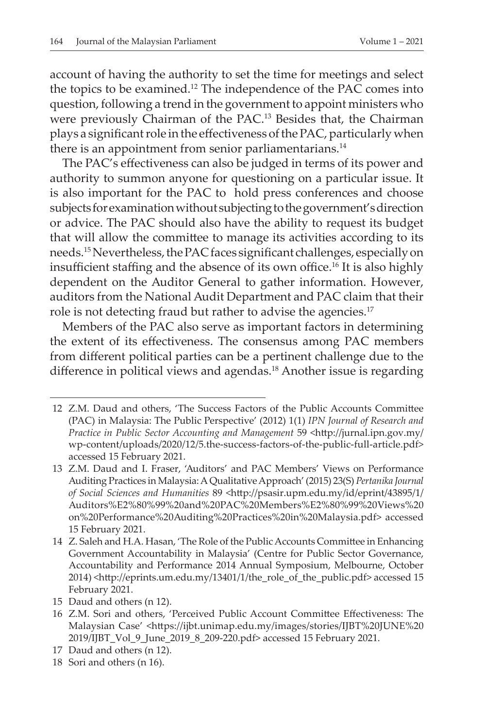account of having the authority to set the time for meetings and select the topics to be examined.12 The independence of the PAC comes into question, following a trend in the government to appoint ministers who were previously Chairman of the PAC.13 Besides that, the Chairman plays a significant role in the effectiveness of the PAC, particularly when there is an appointment from senior parliamentarians.<sup>14</sup>

The PAC's effectiveness can also be judged in terms of its power and authority to summon anyone for questioning on a particular issue. It is also important for the PAC to hold press conferences and choose subjects for examination without subjecting to the government's direction or advice. The PAC should also have the ability to request its budget that will allow the committee to manage its activities according to its needs.<sup>15</sup>Nevertheless, the PAC faces significant challenges, especially on insufficient staffing and the absence of its own office.<sup>16</sup> It is also highly dependent on the Auditor General to gather information. However, auditors from the National Audit Department and PAC claim that their role is not detecting fraud but rather to advise the agencies.<sup>17</sup>

Members of the PAC also serve as important factors in determining the extent of its effectiveness. The consensus among PAC members from different political parties can be a pertinent challenge due to the difference in political views and agendas.<sup>18</sup> Another issue is regarding

<sup>12</sup> Z.M. Daud and others, 'The Success Factors of the Public Accounts Committee (PAC) in Malaysia: The Public Perspective' (2012) 1(1) *IPN Journal of Research and Practice in Public Sector Accounting and Management* 59 <http://jurnal.ipn.gov.my/ wp-content/uploads/2020/12/5.the-success-factors-of-the-public-full-article.pdf> accessed 15 February 2021.

<sup>13</sup> Z.M. Daud and I. Fraser, 'Auditors' and PAC Members' Views on Performance Auditing Practices in Malaysia:A QualitativeApproach'(2015) 23(S) *Pertanika Journal of Social Sciences and Humanities* 89 <http://psasir.upm.edu.my/id/eprint/43895/1/ Auditors%E2%80%99%20and%20PAC%20Members%E2%80%99%20Views%20 on%20Performance%20Auditing%20Practices%20in%20Malaysia.pdf> accessed 15 February 2021.

<sup>14</sup> Z. Saleh and H.A. Hasan, 'The Role of the Public Accounts Committee in Enhancing Government Accountability in Malaysia' (Centre for Public Sector Governance, Accountability and Performance 2014 Annual Symposium, Melbourne, October 2014) <http://eprints.um.edu.my/13401/1/the\_role\_of\_the\_public.pdf> accessed 15 February 2021.

<sup>15</sup> Daud and others (n 12).

<sup>16</sup> Z.M. Sori and others, 'Perceived Public Account Committee Effectiveness: The Malaysian Case' <https://ijbt.unimap.edu.my/images/stories/IJBT%20JUNE%20 2019/IJBT\_Vol\_9\_June\_2019\_8\_209-220.pdf> accessed 15 February 2021.

<sup>17</sup> Daud and others (n 12).

 <sup>18</sup> Sori and others (n 16).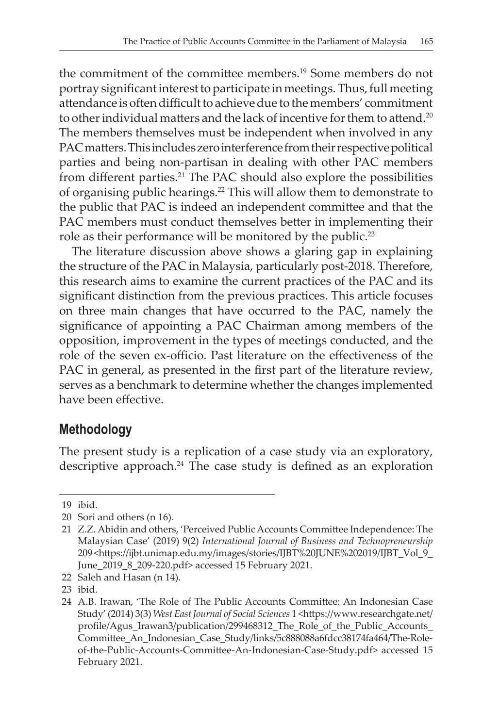the commitment of the committee members.19 Some members do not portray significant interest to participate in meetings. Thus, full meeting attendance is often difficult to achieve due to the members' commitment to other individual matters and the lack of incentive for them to attend.<sup>20</sup> The members themselves must be independent when involved in any PAC matters. This includes zero interference from their respective political parties and being non-partisan in dealing with other PAC members from different parties.21 The PAC should also explore the possibilities of organising public hearings.22 This will allow them to demonstrate to the public that PAC is indeed an independent committee and that the PAC members must conduct themselves better in implementing their role as their performance will be monitored by the public.<sup>23</sup>

The literature discussion above shows a glaring gap in explaining the structure of the PAC in Malaysia, particularly post-2018. Therefore, this research aims to examine the current practices of the PAC and its significant distinction from the previous practices. This article focuses on three main changes that have occurred to the PAC, namely the significance of appointing a PAC Chairman among members of the opposition, improvement in the types of meetings conducted, and the role of the seven ex-officio. Past literature on the effectiveness of the PAC in general, as presented in the first part of the literature review, serves as a benchmark to determine whether the changes implemented have been effective.

## **Methodology**

The present study is a replication of a case study via an exploratory, descriptive approach.<sup>24</sup> The case study is defined as an exploration

 <sup>19</sup> ibid.

 <sup>20</sup> Sori and others (n 16).

 <sup>21</sup> Z.Z. Abidin and others, 'Perceived Public Accounts Committee Independence: The Malaysian Case' (2019) 9(2) *International Journal of Business and Technopreneurship* 209 <https://ijbt.unimap.edu.my/images/stories/IJBT%20JUNE%202019/IJBT\_Vol\_9\_ June\_2019\_8\_209-220.pdf> accessed 15 February 2021.

 <sup>22</sup> Saleh and Hasan (n 14).

 <sup>23</sup> ibid.

 <sup>24</sup> A.B. Irawan, 'The Role of The Public Accounts Committee: An Indonesian Case Study' (2014) 3(3) *West East Journal of Social Sciences* 1 <https://www.researchgate.net/ profile/Agus\_Irawan3/publication/299468312\_The\_Role\_of\_the\_Public\_Accounts\_ Committee\_An\_Indonesian\_Case\_Study/links/5c888088a6fdcc38174fa464/The-Roleof-the-Public-Accounts-Committee-An-Indonesian-Case-Study.pdf> accessed 15 February 2021.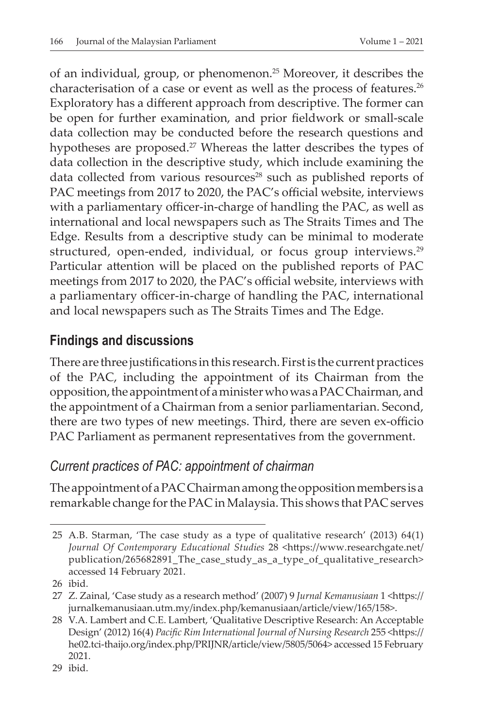of an individual, group, or phenomenon.25 Moreover, it describes the characterisation of a case or event as well as the process of features.<sup>26</sup> Exploratory has a different approach from descriptive. The former can be open for further examination, and prior fieldwork or small-scale data collection may be conducted before the research questions and hypotheses are proposed.<sup>27</sup> Whereas the latter describes the types of data collection in the descriptive study, which include examining the data collected from various resources<sup>28</sup> such as published reports of PAC meetings from 2017 to 2020, the PAC's official website, interviews with a parliamentary officer-in-charge of handling the PAC, as well as international and local newspapers such as The Straits Times and The Edge. Results from a descriptive study can be minimal to moderate structured, open-ended, individual, or focus group interviews.<sup>29</sup> Particular attention will be placed on the published reports of PAC meetings from 2017 to 2020, the PAC's official website, interviews with a parliamentary officer-in-charge of handling the PAC, international and local newspapers such as The Straits Times and The Edge.

### **Findings and discussions**

There are three justifications in this research. First is the current practices of the PAC, including the appointment of its Chairman from the opposition, the appointment of a minister who was a PAC Chairman, and the appointment of a Chairman from a senior parliamentarian. Second, there are two types of new meetings. Third, there are seven ex-officio PAC Parliament as permanent representatives from the government.

### *Current practices of PAC: appointment of chairman*

The appointment of a PAC Chairman among the opposition members is a remarkable change forthe PAC inMalaysia. This shows that PAC serves

 <sup>25</sup> A.B. Starman, 'The case study as a type of qualitative research' (2013) 64(1) *Journal Of Contemporary Educational Studies* 28 <https://www.researchgate.net/ publication/265682891\_The\_case\_study\_as\_a\_type\_of\_qualitative\_research> accessed 14 February 2021.

 <sup>26</sup> ibid.

 <sup>27</sup> Z. Zainal, 'Case study as a research method' (2007) 9 *Jurnal Kemanusiaan* 1 <https:// jurnalkemanusiaan.utm.my/index.php/kemanusiaan/article/view/165/158>.

 <sup>28</sup> V.A. Lambert and C.E. Lambert, 'Qualitative Descriptive Research: An Acceptable Design' (2012) 16(4) *Pacific Rim International Journal of Nursing Research* 255 <https:// he02.tci-thaijo.org/index.php/PRIJNR/article/view/5805/5064> accessed 15 February 2021.

 <sup>29</sup> ibid.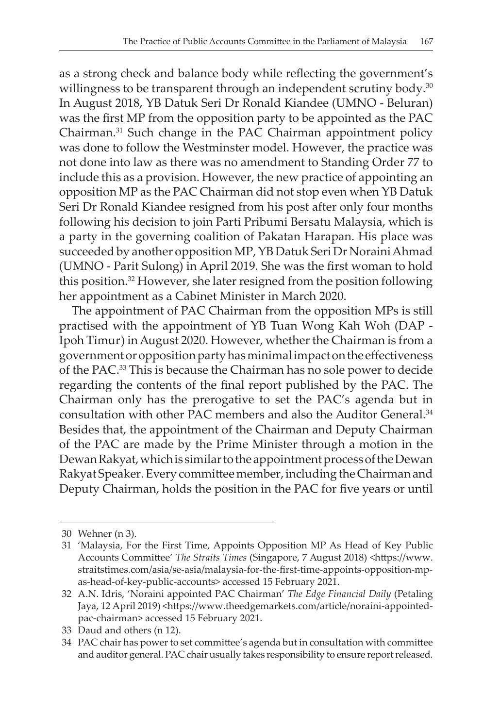as a strong check and balance body while reflecting the government's willingness to be transparent through an independent scrutiny body.<sup>30</sup> In August 2018, YB Datuk Seri Dr Ronald Kiandee (UMNO - Beluran) was the first MP from the opposition party to be appointed as the PAC Chairman.31 Such change in the PAC Chairman appointment policy was done to follow the Westminster model. However, the practice was not done into law as there was no amendment to Standing Order 77 to include this as a provision. However, the new practice of appointing an opposition MP as the PAC Chairman did not stop even when YB Datuk Seri Dr Ronald Kiandee resigned from his post after only four months following his decision to join Parti Pribumi Bersatu Malaysia, which is a party in the governing coalition of Pakatan Harapan. His place was succeeded by another opposition MP, YB Datuk Seri Dr Noraini Ahmad (UMNO - Parit Sulong) in April 2019. She was the first woman to hold this position.32 However, she later resigned from the position following her appointment as a Cabinet Minister in March 2020.

The appointment of PAC Chairman from the opposition MPs is still practised with the appointment of YB Tuan Wong Kah Woh (DAP - Ipoh Timur) in August 2020. However, whether the Chairman is from a governmentoroppositionpartyhasminimalimpactonthe effectiveness of the PAC.33 This is because the Chairman has no sole power to decide regarding the contents of the final report published by the PAC. The Chairman only has the prerogative to set the PAC's agenda but in consultation with other PAC members and also the Auditor General.34 Besides that, the appointment of the Chairman and Deputy Chairman of the PAC are made by the Prime Minister through a motion in the Dewan Rakyat, which is similar to the appointment process of the Dewan Rakyat Speaker. Every committee member, including the Chairman and Deputy Chairman, holds the position in the PAC for five years or until

 <sup>30</sup> Wehner (n 3).

<sup>31 &#</sup>x27;Malaysia, For the First Time, Appoints Opposition MP As Head of Key Public Accounts Committee' *The Straits Times* (Singapore, 7 August 2018) <https://www. straitstimes.com/asia/se-asia/malaysia-for-the-first-time-appoints-opposition-mpas-head-of-key-public-accounts> accessed 15 February 2021.

 <sup>32</sup> A.N. Idris, 'Noraini appointed PAC Chairman' *The Edge Financial Daily* (Petaling Jaya, 12 April 2019) <https://www.theedgemarkets.com/article/noraini-appointedpac-chairman> accessed 15 February 2021.

 <sup>33</sup> Daud and others (n 12).

<sup>34</sup> PAC chair has power to set committee's agenda but in consultation with committee and auditor general. PAC chair usually takes responsibility to ensure report released.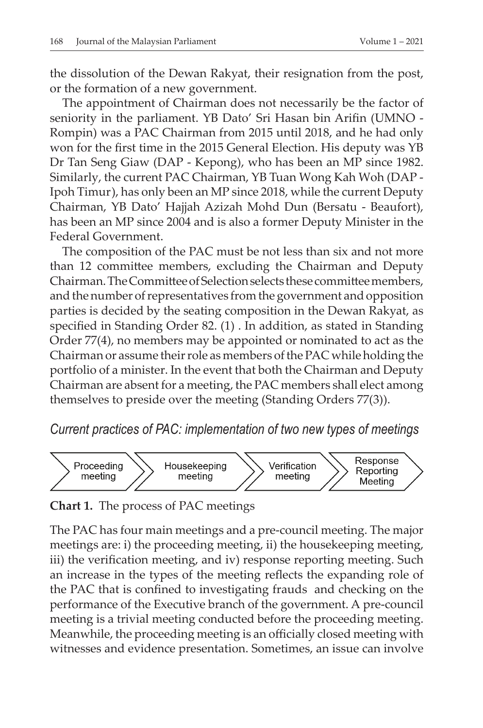the dissolution of the Dewan Rakyat, their resignation from the post, or the formation of a new government.

The appointment of Chairman does not necessarily be the factor of seniority in the parliament. YB Dato' Sri Hasan bin Arifin (UMNO - Rompin) was a PAC Chairman from 2015 until 2018, and he had only won for the first time in the 2015 General Election. His deputy was YB Dr Tan Seng Giaw (DAP - Kepong), who has been an MP since 1982. Similarly, the current PAC Chairman, YB Tuan Wong Kah Woh (DAP - Ipoh Timur), has only been an MP since 2018, while the current Deputy Chairman, YB Dato' Hajjah Azizah Mohd Dun (Bersatu - Beaufort), has been an MP since 2004 and is also a former Deputy Minister in the Federal Government. 

The composition of the PAC must be not less than six and not more than 12 committee members, excluding the Chairman and Deputy Chairman.TheCommitteeofSelectionselects thesecommitteemembers, and the number of representatives from the government and opposition parties is decided by the seating composition in the Dewan Rakyat, as specified in Standing Order 82. (1) . In addition, as stated in Standing Order 77(4), no members may be appointed or nominated to act as the Chairman or assume their role as members of the PAC while holding the portfolio of a minister. In the event that both the Chairman and Deputy Chairman are absent for a meeting, the PAC members shall elect among themselves to preside over the meeting (Standing Orders 77(3)).

*Current practices of PAC: implementation of two new types of meetings*



**Chart 1.** The process of PAC meetings

The PAC has four main meetings and a pre-council meeting. The major meetings are: i) the proceeding meeting, ii) the housekeeping meeting, iii) the verification meeting, and iv) response reporting meeting. Such an increase in the types of the meeting reflects the expanding role of the PAC that is confined to investigating frauds and checking on the performance of the Executive branch of the government. A pre-council meeting is a trivial meeting conducted before the proceeding meeting. Meanwhile, the proceeding meeting is an officially closed meeting with witnesses and evidence presentation. Sometimes, an issue can involve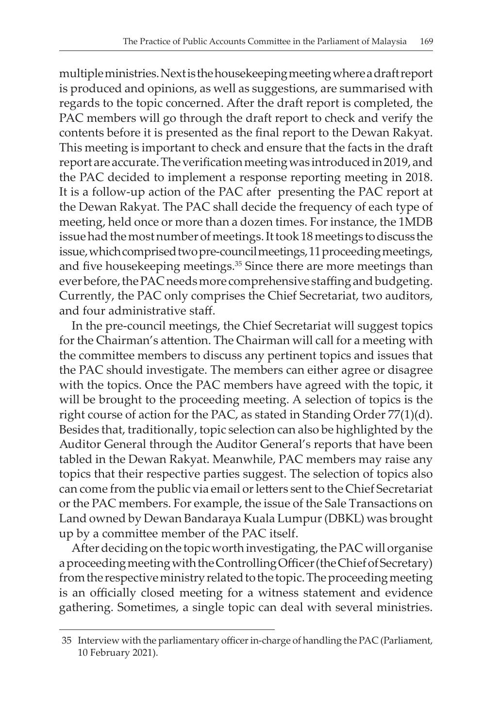multipleministries.Nextisthehousekeepingmeetingwhereadraftreport is produced and opinions, as well as suggestions, are summarised with regards to the topic concerned. After the draft report is completed, the PAC members will go through the draft report to check and verify the contents before it is presented as the final report to the Dewan Rakyat. This meeting is important to check and ensure that the facts in the draft report are accurate. The verification meeting was introduced in 2019, and the PAC decided to implement a response reporting meeting in 2018. It is a follow-up action of the PAC after presenting the PAC report at the Dewan Rakyat. The PAC shall decide the frequency of each type of meeting, held once or more than a dozen times. For instance, the 1MDB issue had the most number of meetings. It took 18 meetings to discuss the issue, which comprised two pre-council meetings, 11 proceeding meetings, and five housekeeping meetings.<sup>35</sup> Since there are more meetings than ever before, the PAC needs more comprehensive staffing and budgeting. Currently, the PAC only comprises the Chief Secretariat, two auditors, and four administrative staff.

In the pre-council meetings, the Chief Secretariat will suggest topics for the Chairman's attention. The Chairman will call for a meeting with the committee members to discuss any pertinent topics and issues that the PAC should investigate. The members can either agree or disagree with the topics. Once the PAC members have agreed with the topic, it will be brought to the proceeding meeting. A selection of topics is the right course of action for the PAC, as stated in Standing Order 77(1)(d). Besides that, traditionally, topic selection can also be highlighted by the Auditor General through the Auditor General's reports that have been tabled in the Dewan Rakyat. Meanwhile, PAC members may raise any topics that their respective parties suggest. The selection of topics also can come from the public via email or letters sent to the Chief Secretariat orthe PAC members. For example, the issue of the Sale Transactions on Land owned by Dewan Bandaraya Kuala Lumpur(DBKL) was brought up by a committee member of the PAC itself.

After deciding on the topic worth investigating, the PAC will organise a proceeding meeting with the Controlling Officer (the Chief of Secretary) from the respective ministry related to the topic. The proceeding meeting is an officially closed meeting for a witness statement and evidence gathering. Sometimes, a single topic can deal with several ministries.

<sup>35</sup> Interview with the parliamentary officer in-charge of handling the PAC (Parliament, 10 February 2021).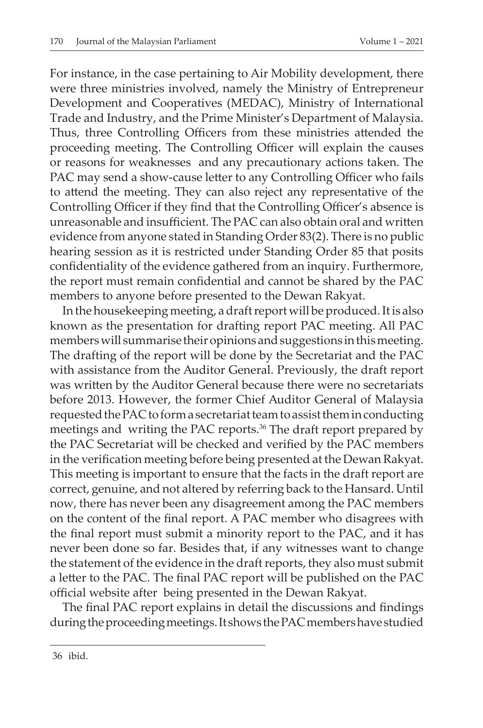For instance, in the case pertaining to Air Mobility development, there were three ministries involved, namely the Ministry of Entrepreneur Development and Cooperatives (MEDAC), Ministry of International Trade and Industry, and the Prime Minister's Department of Malaysia. Thus, three Controlling Officers from these ministries attended the proceeding meeting. The Controlling Officer will explain the causes or reasons for weaknesses and any precautionary actions taken. The PAC may send a show-cause letter to any Controlling Officer who fails to attend the meeting. They can also reject any representative of the Controlling Officer if they find that the Controlling Officer's absence is unreasonable and insufficient. The PAC can also obtain oral and written evidence from anyone stated in Standing Order 83(2). There is no public hearing session as it is restricted under Standing Order 85 that posits confidentiality of the evidence gathered from an inquiry. Furthermore, the report must remain confidential and cannot be shared by the PAC members to anyone before presented to the Dewan Rakyat.

In the housekeeping meeting, a draft report will be produced. It is also known as the presentation for drafting report PAC meeting. All PAC members will summarise their opinions and suggestions in this meeting. The drafting of the report will be done by the Secretariat and the PAC with assistance from the Auditor General. Previously, the draft report was written by the Auditor General because there were no secretariats before 2013. However, the former Chief Auditor General of Malaysia requested the PAC to form a secretariat team to assist them in conducting meetings and writing the PAC reports.<sup>36</sup> The draft report prepared by the PAC Secretariat will be checked and verified by the PAC members in the verification meeting before being presented at the Dewan Rakyat. This meeting is important to ensure that the facts in the draft report are correct, genuine, and not altered by referring back to the Hansard. Until now, there has never been any disagreement among the PAC members on the content of the final report. A PAC member who disagrees with the final report must submit a minority report to the PAC, and it has never been done so far. Besides that, if any witnesses want to change the statement of the evidence in the draft reports, they also must submit a letter to the PAC. The final PAC report will be published on the PAC official website after being presented in the Dewan Rakyat.

The final PAC report explains in detail the discussions and findings during the proceeding meetings. It shows the PAC members have studied

 36 ibid.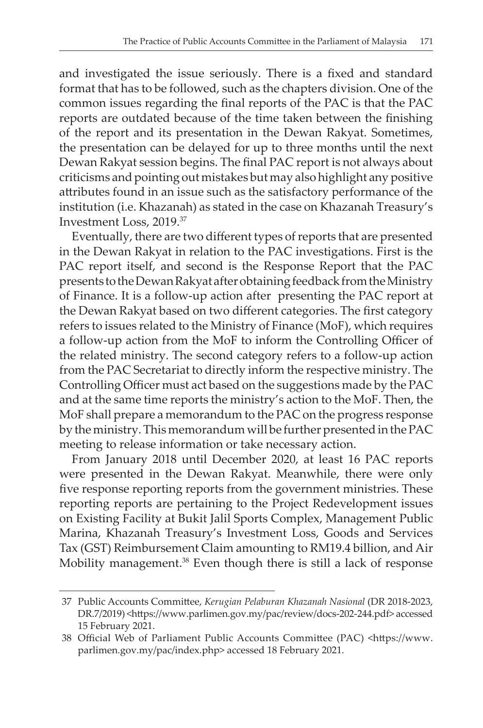and investigated the issue seriously. There is a fixed and standard format that has to be followed, such as the chapters division. One of the common issues regarding the final reports of the PAC is that the PAC reports are outdated because of the time taken between the finishing of the report and its presentation in the Dewan Rakyat. Sometimes, the presentation can be delayed for up to three months until the next Dewan Rakyat session begins. The final PAC report is not always about criticisms and pointing out mistakes but may also highlight any positive attributes found in an issue such as the satisfactory performance of the institution (i.e. Khazanah) as stated in the case on Khazanah Treasury's Investment Loss, 2019.37

Eventually, there are two different types of reports that are presented in the Dewan Rakyat in relation to the PAC investigations. First is the PAC report itself, and second is the Response Report that the PAC presents to the Dewan Rakyat after obtaining feedback from the Ministry of Finance. It is a follow-up action after presenting the PAC report at the Dewan Rakyat based on two different categories. The first category refers to issues related to the Ministry of Finance (MoF), which requires a follow-up action from the MoF to inform the Controlling Officer of the related ministry. The second category refers to a follow-up action from the PAC Secretariat to directly inform the respective ministry. The Controlling Officer must act based on the suggestions made by the PAC and at the same time reports the ministry's action to the MoF. Then, the MoF shall prepare a memorandum to the PAC on the progress response by the ministry. This memorandum will be further presented in the PAC meeting to release information or take necessary action.

From January 2018 until December 2020, at least 16 PAC reports were presented in the Dewan Rakyat. Meanwhile, there were only five response reporting reports from the government ministries. These reporting reports are pertaining to the Project Redevelopment issues on Existing Facility at Bukit Jalil Sports Complex, Management Public Marina, Khazanah Treasury's Investment Loss, Goods and Services Tax (GST) Reimbursement Claim amounting to RM19.4 billion, and Air Mobility management.<sup>38</sup> Even though there is still a lack of response

 <sup>37</sup> Public Accounts Committee, *Kerugian Pelaburan Khazanah Nasional* (DR 2018-2023, DR.7/2019) <https://www.parlimen.gov.my/pac/review/docs-202-244.pdf> accessed 15 February 2021.

 <sup>38</sup> Official Web of Parliament Public Accounts Committee (PAC) <https://www. parlimen.gov.my/pac/index.php> accessed 18 February 2021.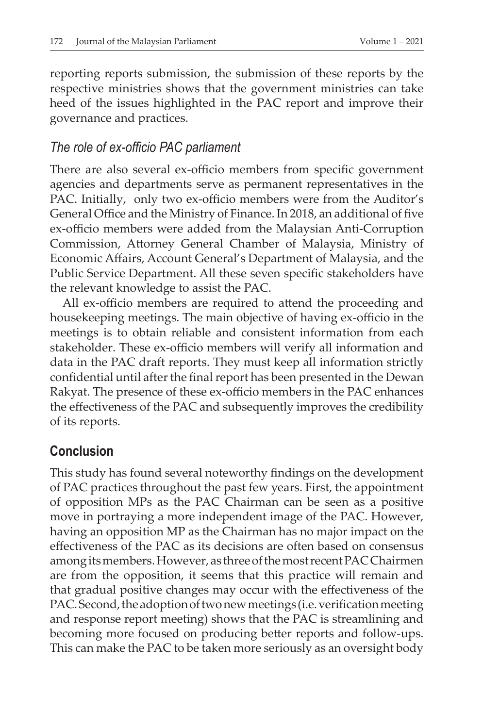reporting reports submission, the submission of these reports by the respective ministries shows that the government ministries can take heed of the issues highlighted in the PAC report and improve their governance and practices.

#### *The role of ex-officio PAC parliament*

There are also several ex-officio members from specific government agencies and departments serve as permanent representatives in the PAC. Initially, only two ex-officio members were from the Auditor's General Office and the Ministry of Finance. In 2018, an additional of five ex-officio members were added from the Malaysian Anti-Corruption Commission, Attorney General Chamber of Malaysia, Ministry of Economic Affairs, Account General's Department of Malaysia, and the Public Service Department. All these seven specific stakeholders have the relevant knowledge to assist the PAC.

All ex-officio members are required to attend the proceeding and housekeeping meetings. The main objective of having ex-officio in the meetings is to obtain reliable and consistent information from each stakeholder. These ex-officio members will verify all information and data in the PAC draft reports. They must keep all information strictly confidential until after the final report has been presented in the Dewan Rakyat. The presence of these ex-officio members in the PAC enhances the effectiveness of the PAC and subsequently improves the credibility of its reports.

### **Conclusion**

This study has found several noteworthy findings on the development of PAC practices throughout the past few years. First, the appointment of opposition MPs as the PAC Chairman can be seen as a positive move in portraying a more independent image of the PAC. However, having an opposition MP as the Chairman has no major impact on the effectiveness of the PAC as its decisions are often based on consensus among its members. However, as three of the most recent PAC Chairmen are from the opposition, it seems that this practice will remain and that gradual positive changes may occur with the effectiveness of the PAC. Second, the adoption of two new meetings (i.e. verification meeting and response report meeting) shows that the PAC is streamlining and becoming more focused on producing better reports and follow-ups. This can make the PAC to be taken more seriously as an oversight body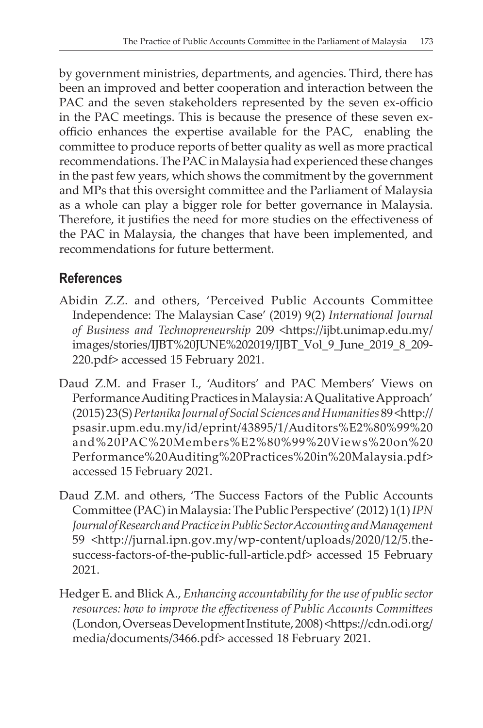by government ministries, departments, and agencies. Third, there has been an improved and better cooperation and interaction between the PAC and the seven stakeholders represented by the seven ex-officio in the PAC meetings. This is because the presence of these seven exofficio enhances the expertise available for the PAC, enabling the committee to produce reports of better quality as well as more practical recommendations. The PAC in Malaysia had experienced these changes in the past few years, which shows the commitment by the government and MPs that this oversight committee and the Parliament of Malaysia as a whole can play a bigger role for better governance in Malaysia. Therefore, it justifies the need for more studies on the effectiveness of the PAC in Malaysia, the changes that have been implemented, and recommendations for future betterment.

### **References**

- Abidin Z.Z. and others, 'Perceived Public Accounts Committee Independence: The Malaysian Case' (2019) 9(2) *International Journal of Business and Technopreneurship* 209 <https://ijbt.unimap.edu.my/ images/stories/IJBT%20JUNE%202019/IJBT\_Vol\_9\_June\_2019\_8\_209- 220.pdf> accessed 15 February 2021.
- Daud Z.M. and Fraser I., 'Auditors' and PAC Members' Views on Performance Auditing Practices in Malaysia: A Qualitative Approach' (2015)23(S)*Pertanika Journal of Social Sciences and Humanities* 89<http:// psasir.upm.edu.my/id/eprint/43895/1/Auditors%E2%80%99%20 and%20PAC%20Members%E2%80%99%20Views%20on%20 Performance%20Auditing%20Practices%20in%20Malaysia.pdf> accessed 15 February 2021.
- Daud Z.M. and others, 'The Success Factors of the Public Accounts Committee (PAC)inMalaysia:ThePublicPerspective'(2012) 1(1)*IPN Journal of Research and Practice in Public Sector Accounting and Management* 59 <http://jurnal.ipn.gov.my/wp-content/uploads/2020/12/5.thesuccess-factors-of-the-public-full-article.pdf> accessed 15 February 2021.
- Hedger E. and BlickA., *Enhancing accountability for the use of public sector resources: how to improve the effectiveness of Public Accounts Committees* (London,OverseasDevelopmentInstitute,2008)<https://cdn.odi.org/ media/documents/3466.pdf> accessed 18 February 2021.